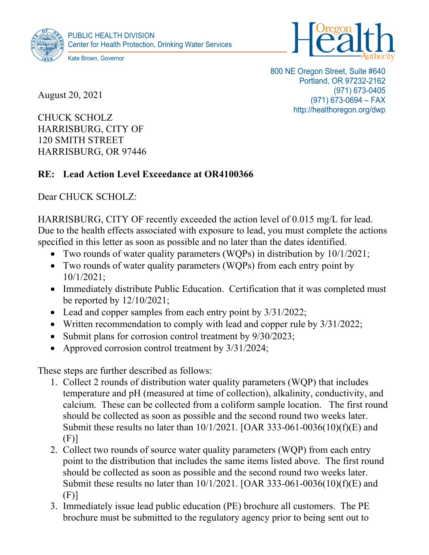



August 20, 2021

800 NE Oregon Street, Suite #640 Portland, OR 97232-2162 (971) 673-0405 (971) 673-0694 – FAX http://healthoregon.org/dwp

CHUCK SCHOLZ HARRISBURG, CITY OF 120 SMITH STREET HARRISBURG, OR 97446

## **RE: Lead Action Level Exceedance at OR4100366**

Dear CHUCK SCHOLZ:

HARRISBURG, CITY OF recently exceeded the action level of 0.015 mg/L for lead. Due to the health effects associated with exposure to lead, you must complete the actions specified in this letter as soon as possible and no later than the dates identified.

- Two rounds of water quality parameters (WQPs) in distribution by  $10/1/2021$ ;
- Two rounds of water quality parameters (WQPs) from each entry point by 10/1/2021;
- Immediately distribute Public Education. Certification that it was completed must be reported by 12/10/2021;
- Lead and copper samples from each entry point by  $3/31/2022$ ;
- Written recommendation to comply with lead and copper rule by  $3/31/2022$ ;
- Submit plans for corrosion control treatment by  $9/30/2023$ ;
- Approved corrosion control treatment by  $3/31/2024$ ;

These steps are further described as follows:

- 1. Collect 2 rounds of distribution water quality parameters (WQP) that includes temperature and pH (measured at time of collection), alkalinity, conductivity, and calcium. These can be collected from a coliform sample location. The first round should be collected as soon as possible and the second round two weeks later. Submit these results no later than 10/1/2021. [OAR 333-061-0036(10)(f)(E) and (F)]
- 2. Collect two rounds of source water quality parameters (WQP) from each entry point to the distribution that includes the same items listed above. The first round should be collected as soon as possible and the second round two weeks later. Submit these results no later than 10/1/2021. [OAR 333-061-0036(10)(f)(E) and (F)]
- 3. Immediately issue lead public education (PE) brochure all customers. The PE brochure must be submitted to the regulatory agency prior to being sent out to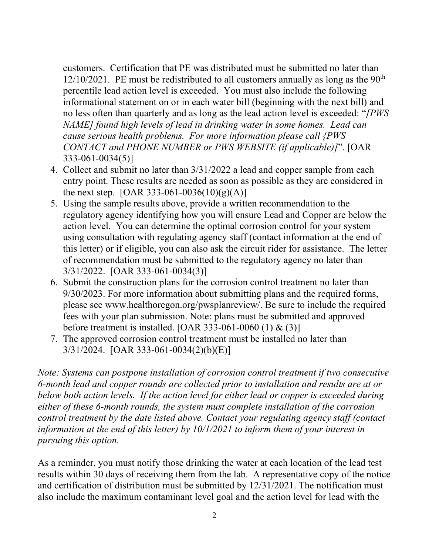customers. Certification that PE was distributed must be submitted no later than  $12/10/2021$ . PE must be redistributed to all customers annually as long as the 90<sup>th</sup> percentile lead action level is exceeded. You must also include the following informational statement on or in each water bill (beginning with the next bill) and no less often than quarterly and as long as the lead action level is exceeded: "*[PWS NAME] found high levels of lead in drinking water in some homes. Lead can cause serious health problems. For more information please call {PWS CONTACT and PHONE NUMBER or PWS WEBSITE (if applicable)]*". [OAR 333-061-0034(5)]

- 4. Collect and submit no later than 3/31/2022 a lead and copper sample from each entry point. These results are needed as soon as possible as they are considered in the next step.  $[OAR 333-061-0036(10)(g)(A)]$
- 5. Using the sample results above, provide a written recommendation to the regulatory agency identifying how you will ensure Lead and Copper are below the action level. You can determine the optimal corrosion control for your system using consultation with regulating agency staff (contact information at the end of this letter) or if eligible, you can also ask the circuit rider for assistance. The letter of recommendation must be submitted to the regulatory agency no later than 3/31/2022. [OAR 333-061-0034(3)]
- 6. Submit the construction plans for the corrosion control treatment no later than 9/30/2023. For more information about submitting plans and the required forms, please see www.healthoregon.org/pwsplanreview/. Be sure to include the required fees with your plan submission. Note: plans must be submitted and approved before treatment is installed. [OAR 333-061-0060 (1) & (3)]
- 7. The approved corrosion control treatment must be installed no later than 3/31/2024. [OAR 333-061-0034(2)(b)(E)]

*Note: Systems can postpone installation of corrosion control treatment if two consecutive 6-month lead and copper rounds are collected prior to installation and results are at or below both action levels. If the action level for either lead or copper is exceeded during either of these 6-month rounds, the system must complete installation of the corrosion control treatment by the date listed above. Contact your regulating agency staff (contact information at the end of this letter) by 10/1/2021 to inform them of your interest in pursuing this option.*

As a reminder, you must notify those drinking the water at each location of the lead test results within 30 days of receiving them from the lab. A representative copy of the notice and certification of distribution must be submitted by 12/31/2021. The notification must also include the maximum contaminant level goal and the action level for lead with the